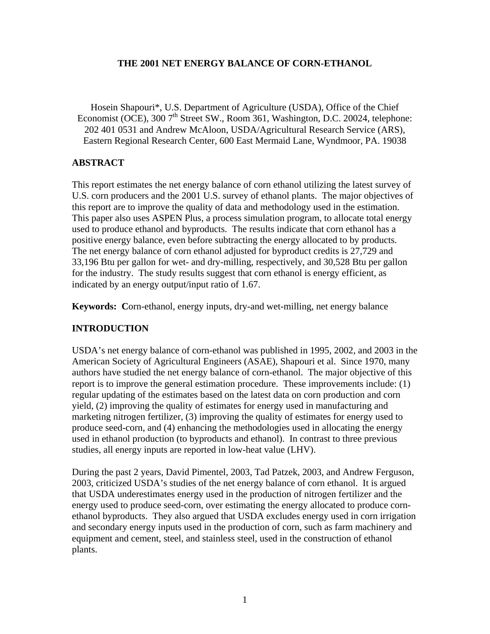## **THE 2001 NET ENERGY BALANCE OF CORN-ETHANOL**

Hosein Shapouri\*, U.S. Department of Agriculture (USDA), Office of the Chief Economist (OCE), 300  $7<sup>th</sup>$  Street SW., Room 361, Washington, D.C. 20024, telephone: 202 401 0531 and Andrew McAloon, USDA/Agricultural Research Service (ARS), Eastern Regional Research Center, 600 East Mermaid Lane, Wyndmoor, PA. 19038

# **ABSTRACT**

This report estimates the net energy balance of corn ethanol utilizing the latest survey of U.S. corn producers and the 2001 U.S. survey of ethanol plants. The major objectives of this report are to improve the quality of data and methodology used in the estimation. This paper also uses ASPEN Plus, a process simulation program, to allocate total energy used to produce ethanol and byproducts. The results indicate that corn ethanol has a positive energy balance, even before subtracting the energy allocated to by products. The net energy balance of corn ethanol adjusted for byproduct credits is 27,729 and 33,196 Btu per gallon for wet- and dry-milling, respectively, and 30,528 Btu per gallon for the industry. The study results suggest that corn ethanol is energy efficient, as indicated by an energy output/input ratio of 1.67.

**Keywords: C**orn-ethanol, energy inputs, dry-and wet-milling, net energy balance

# **INTRODUCTION**

USDA's net energy balance of corn-ethanol was published in 1995, 2002, and 2003 in the American Society of Agricultural Engineers (ASAE), Shapouri et al. Since 1970, many authors have studied the net energy balance of corn-ethanol. The major objective of this report is to improve the general estimation procedure. These improvements include: (1) regular updating of the estimates based on the latest data on corn production and corn yield, (2) improving the quality of estimates for energy used in manufacturing and marketing nitrogen fertilizer, (3) improving the quality of estimates for energy used to produce seed-corn, and (4) enhancing the methodologies used in allocating the energy used in ethanol production (to byproducts and ethanol). In contrast to three previous studies, all energy inputs are reported in low-heat value (LHV).

During the past 2 years, David Pimentel, 2003, Tad Patzek, 2003, and Andrew Ferguson, 2003, criticized USDA's studies of the net energy balance of corn ethanol. It is argued that USDA underestimates energy used in the production of nitrogen fertilizer and the energy used to produce seed-corn, over estimating the energy allocated to produce cornethanol byproducts. They also argued that USDA excludes energy used in corn irrigation and secondary energy inputs used in the production of corn, such as farm machinery and equipment and cement, steel, and stainless steel, used in the construction of ethanol plants.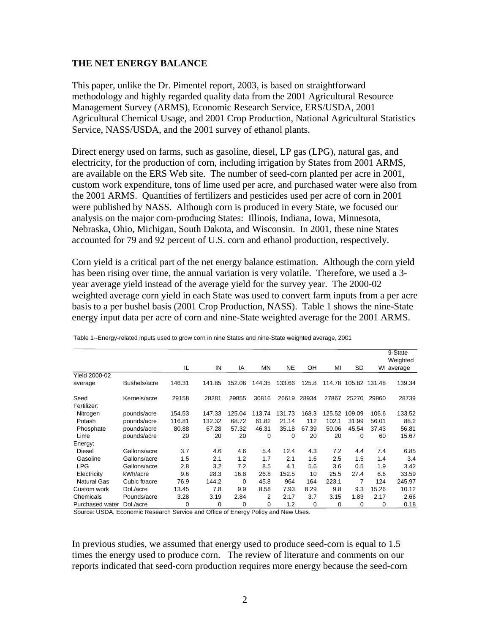### **THE NET ENERGY BALANCE**

This paper, unlike the Dr. Pimentel report, 2003, is based on straightforward methodology and highly regarded quality data from the 2001 Agricultural Resource Management Survey (ARMS), Economic Research Service, ERS/USDA, 2001 Agricultural Chemical Usage, and 2001 Crop Production, National Agricultural Statistics Service, NASS/USDA, and the 2001 survey of ethanol plants.

Direct energy used on farms, such as gasoline, diesel, LP gas (LPG), natural gas, and electricity, for the production of corn, including irrigation by States from 2001 ARMS, are available on the ERS Web site. The number of seed-corn planted per acre in 2001, custom work expenditure, tons of lime used per acre, and purchased water were also from the 2001 ARMS. Quantities of fertilizers and pesticides used per acre of corn in 2001 were published by NASS. Although corn is produced in every State, we focused our analysis on the major corn-producing States: Illinois, Indiana, Iowa, Minnesota, Nebraska, Ohio, Michigan, South Dakota, and Wisconsin. In 2001, these nine States accounted for 79 and 92 percent of U.S. corn and ethanol production, respectively.

Corn yield is a critical part of the net energy balance estimation. Although the corn yield has been rising over time, the annual variation is very volatile. Therefore, we used a 3 year average yield instead of the average yield for the survey year. The 2000-02 weighted average corn yield in each State was used to convert farm inputs from a per acre basis to a per bushel basis (2001 Crop Production, NASS). Table 1 shows the nine-State energy input data per acre of corn and nine-State weighted average for the 2001 ARMS.

|                      |               |        |        |        |           |          |             |        |                      |       | 9-State<br>Weighted |
|----------------------|---------------|--------|--------|--------|-----------|----------|-------------|--------|----------------------|-------|---------------------|
|                      |               | IL     | IN     | IA     | <b>MN</b> | NE.      | OH          | MI     | SD                   |       | WI average          |
| <b>Yield 2000-02</b> |               |        |        |        |           |          |             |        |                      |       |                     |
| average              | Bushels/acre  | 146.31 | 141.85 | 152.06 | 144.35    | 133.66   | 125.8       |        | 114.78 105.82 131.48 |       | 139.34              |
| Seed                 | Kernels/acre  | 29158  | 28281  | 29855  | 30816     | 26619    | 28934       | 27867  | 25270                | 29860 | 28739               |
| Fertilizer:          |               |        |        |        |           |          |             |        |                      |       |                     |
| Nitrogen             | pounds/acre   | 154.53 | 147.33 | 125.04 | 113.74    | 131.73   | 168.3       | 125.52 | 109.09               | 106.6 | 133.52              |
| Potash               | pounds/acre   | 116.81 | 132.32 | 68.72  | 61.82     | 21.14    | 112         | 102.1  | 31.99                | 56.01 | 88.2                |
| Phosphate            | pounds/acre   | 80.88  | 67.28  | 57.32  | 46.31     | 35.18    | 67.39       | 50.06  | 45.54                | 37.43 | 56.81               |
| Lime                 | pounds/acre   | 20     | 20     | 20     | 0         | $\Omega$ | 20          | 20     | 0                    | 60    | 15.67               |
| Energy:              |               |        |        |        |           |          |             |        |                      |       |                     |
| <b>Diesel</b>        | Gallons/acre  | 3.7    | 4.6    | 4.6    | 5.4       | 12.4     | 4.3         | 7.2    | 4.4                  | 7.4   | 6.85                |
| Gasoline             | Gallons/acre  | 1.5    | 2.1    | 1.2    | 1.7       | 2.1      | 1.6         | 2.5    | 1.5                  | 1.4   | 3.4                 |
| <b>LPG</b>           | Gallons/acre  | 2.8    | 3.2    | 7.2    | 8.5       | 4.1      | 5.6         | 3.6    | 0.5                  | 1.9   | 3.42                |
| Electricity          | kWh/acre      | 9.6    | 28.3   | 16.8   | 26.8      | 152.5    | 10          | 25.5   | 27.4                 | 6.6   | 33.59               |
| <b>Natural Gas</b>   | Cubic ft/acre | 76.9   | 144.2  | 0      | 45.8      | 964      | 164         | 223.1  | 7                    | 124   | 245.97              |
| Custom work          | Dol./acre     | 13.45  | 7.8    | 9.9    | 8.58      | 7.93     | 8.29        | 9.8    | 9.3                  | 15.26 | 10.12               |
| Chemicals            | Pounds/acre   | 3.28   | 3.19   | 2.84   | 2         | 2.17     | 3.7         | 3.15   | 1.83                 | 2.17  | 2.66                |
| Purchased water      | Dol./acre     | 0      | 0      | 0      | 0         | 1.2      | $\mathbf 0$ | 0      | 0                    | 0     | 0.18                |

Table 1--Energy-related inputs used to grow corn in nine States and nine-State weighted average, 2001

Source: USDA, Economic Research Service and Office of Energy Policy and New Uses.

In previous studies, we assumed that energy used to produce seed-corn is equal to 1.5 times the energy used to produce corn. The review of literature and comments on our reports indicated that seed-corn production requires more energy because the seed-corn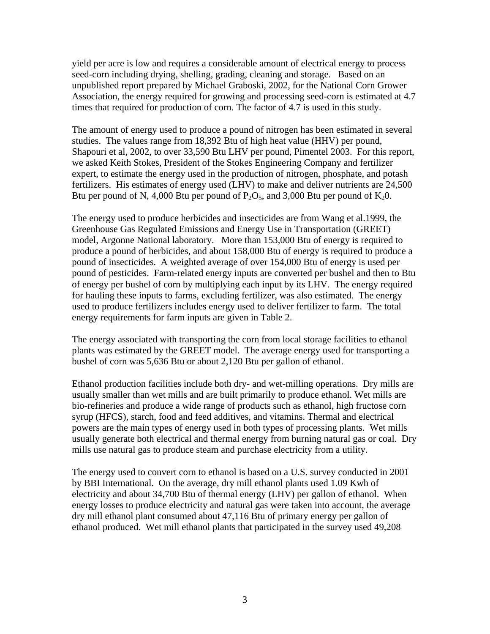yield per acre is low and requires a considerable amount of electrical energy to process seed-corn including drying, shelling, grading, cleaning and storage. Based on an unpublished report prepared by Michael Graboski, 2002, for the National Corn Grower Association, the energy required for growing and processing seed-corn is estimated at 4.7 times that required for production of corn. The factor of 4.7 is used in this study.

The amount of energy used to produce a pound of nitrogen has been estimated in several studies. The values range from 18,392 Btu of high heat value (HHV) per pound, Shapouri et al, 2002, to over 33,590 Btu LHV per pound, Pimentel 2003. For this report, we asked Keith Stokes, President of the Stokes Engineering Company and fertilizer expert, to estimate the energy used in the production of nitrogen, phosphate, and potash fertilizers. His estimates of energy used (LHV) to make and deliver nutrients are 24,500 Btu per pound of N, 4,000 Btu per pound of  $P_2O_5$ , and 3,000 Btu per pound of  $K_2O$ .

The energy used to produce herbicides and insecticides are from Wang et al.1999, the Greenhouse Gas Regulated Emissions and Energy Use in Transportation (GREET) model, Argonne National laboratory. More than 153,000 Btu of energy is required to produce a pound of herbicides, and about 158,000 Btu of energy is required to produce a pound of insecticides. A weighted average of over 154,000 Btu of energy is used per pound of pesticides. Farm-related energy inputs are converted per bushel and then to Btu of energy per bushel of corn by multiplying each input by its LHV. The energy required for hauling these inputs to farms, excluding fertilizer, was also estimated. The energy used to produce fertilizers includes energy used to deliver fertilizer to farm. The total energy requirements for farm inputs are given in Table 2.

The energy associated with transporting the corn from local storage facilities to ethanol plants was estimated by the GREET model. The average energy used for transporting a bushel of corn was 5,636 Btu or about 2,120 Btu per gallon of ethanol.

Ethanol production facilities include both dry- and wet-milling operations. Dry mills are usually smaller than wet mills and are built primarily to produce ethanol. Wet mills are bio-refineries and produce a wide range of products such as ethanol, high fructose corn syrup (HFCS), starch, food and feed additives, and vitamins. Thermal and electrical powers are the main types of energy used in both types of processing plants. Wet mills usually generate both electrical and thermal energy from burning natural gas or coal. Dry mills use natural gas to produce steam and purchase electricity from a utility.

The energy used to convert corn to ethanol is based on a U.S. survey conducted in 2001 by BBI International. On the average, dry mill ethanol plants used 1.09 Kwh of electricity and about 34,700 Btu of thermal energy (LHV) per gallon of ethanol. When energy losses to produce electricity and natural gas were taken into account, the average dry mill ethanol plant consumed about 47,116 Btu of primary energy per gallon of ethanol produced. Wet mill ethanol plants that participated in the survey used 49,208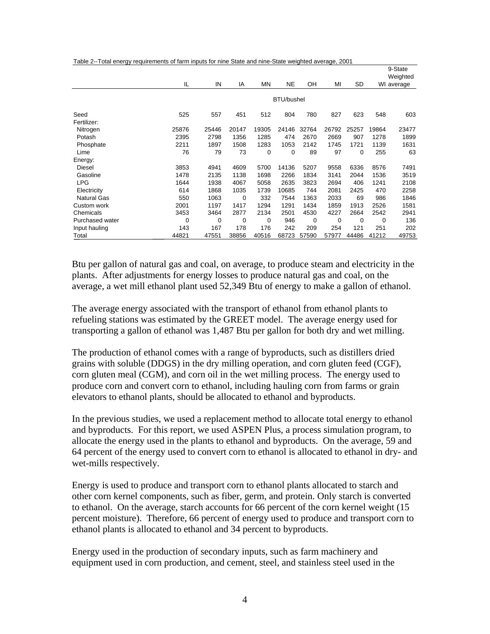|  | Table 2--Total energy requirements of farm inputs for nine State and nine-State weighted average, 2001 |  |
|--|--------------------------------------------------------------------------------------------------------|--|
|  |                                                                                                        |  |

|                    |       |       |             |             |                   |             |          |       |       | 9-State                |
|--------------------|-------|-------|-------------|-------------|-------------------|-------------|----------|-------|-------|------------------------|
|                    | IL    | IN    | IA          | <b>MN</b>   | <b>NE</b>         | OH          | MI       | SD    |       | Weighted<br>WI average |
|                    |       |       |             |             | <b>BTU/bushel</b> |             |          |       |       |                        |
| Seed               | 525   | 557   | 451         | 512         | 804               | 780         | 827      | 623   | 548   | 603                    |
| Fertilizer:        |       |       |             |             |                   |             |          |       |       |                        |
| Nitrogen           | 25876 | 25446 | 20147       | 19305       | 24146             | 32764       | 26792    | 25257 | 19864 | 23477                  |
| Potash             | 2395  | 2798  | 1356        | 1285        | 474               | 2670        | 2669     | 907   | 1278  | 1899                   |
| Phosphate          | 2211  | 1897  | 1508        | 1283        | 1053              | 2142        | 1745     | 1721  | 1139  | 1631                   |
| Lime               | 76    | 79    | 73          | 0           | $\Omega$          | 89          | 97       | 0     | 255   | 63                     |
| Energy:            |       |       |             |             |                   |             |          |       |       |                        |
| Diesel             | 3853  | 4941  | 4609        | 5700        | 14136             | 5207        | 9558     | 6336  | 8576  | 7491                   |
| Gasoline           | 1478  | 2135  | 1138        | 1698        | 2266              | 1834        | 3141     | 2044  | 1536  | 3519                   |
| <b>LPG</b>         | 1644  | 1938  | 4067        | 5058        | 2635              | 3823        | 2694     | 406   | 1241  | 2108                   |
| Electricity        | 614   | 1868  | 1035        | 1739        | 10685             | 744         | 2081     | 2425  | 470   | 2258                   |
| <b>Natural Gas</b> | 550   | 1063  | $\mathbf 0$ | 332         | 7544              | 1363        | 2033     | 69    | 986   | 1846                   |
| Custom work        | 2001  | 1197  | 1417        | 1294        | 1291              | 1434        | 1859     | 1913  | 2526  | 1581                   |
| Chemicals          | 3453  | 3464  | 2877        | 2134        | 2501              | 4530        | 4227     | 2664  | 2542  | 2941                   |
| Purchased water    | 0     | 0     | 0           | $\mathbf 0$ | 946               | $\mathbf 0$ | $\Omega$ | 0     | 0     | 136                    |
| Input hauling      | 143   | 167   | 178         | 176         | 242               | 209         | 254      | 121   | 251   | 202                    |
| Total              | 44821 | 47551 | 38856       | 40516       | 68723             | 57590       | 57977    | 44486 | 41212 | 49753                  |

Btu per gallon of natural gas and coal, on average, to produce steam and electricity in the plants. After adjustments for energy losses to produce natural gas and coal, on the average, a wet mill ethanol plant used 52,349 Btu of energy to make a gallon of ethanol.

The average energy associated with the transport of ethanol from ethanol plants to refueling stations was estimated by the GREET model. The average energy used for transporting a gallon of ethanol was 1,487 Btu per gallon for both dry and wet milling.

The production of ethanol comes with a range of byproducts, such as distillers dried grains with soluble (DDGS) in the dry milling operation, and corn gluten feed (CGF), corn gluten meal (CGM), and corn oil in the wet milling process. The energy used to produce corn and convert corn to ethanol, including hauling corn from farms or grain elevators to ethanol plants, should be allocated to ethanol and byproducts.

In the previous studies, we used a replacement method to allocate total energy to ethanol and byproducts. For this report, we used ASPEN Plus, a process simulation program, to allocate the energy used in the plants to ethanol and byproducts. On the average, 59 and 64 percent of the energy used to convert corn to ethanol is allocated to ethanol in dry- and wet-mills respectively.

Energy is used to produce and transport corn to ethanol plants allocated to starch and other corn kernel components, such as fiber, germ, and protein. Only starch is converted to ethanol. On the average, starch accounts for 66 percent of the corn kernel weight (15 percent moisture). Therefore, 66 percent of energy used to produce and transport corn to ethanol plants is allocated to ethanol and 34 percent to byproducts.

Energy used in the production of secondary inputs, such as farm machinery and equipment used in corn production, and cement, steel, and stainless steel used in the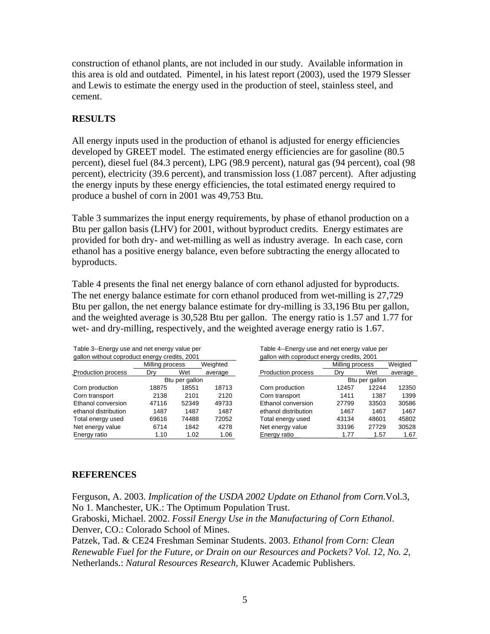construction of ethanol plants, are not included in our study. Available information in this area is old and outdated. Pimentel, in his latest report (2003), used the 1979 Slesser and Lewis to estimate the energy used in the production of steel, stainless steel, and cement.

# **RESULTS**

All energy inputs used in the production of ethanol is adjusted for energy efficiencies developed by GREET model. The estimated energy efficiencies are for gasoline (80.5) percent), diesel fuel (84.3 percent), LPG (98.9 percent), natural gas (94 percent), coal (98 percent), electricity (39.6 percent), and transmission loss (1.087 percent). After adjusting the energy inputs by these energy efficiencies, the total estimated energy required to produce a bushel of corn in 2001 was 49,753 Btu.

Table 3 summarizes the input energy requirements, by phase of ethanol production on a Btu per gallon basis (LHV) for 2001, without byproduct credits. Energy estimates are provided for both dry- and wet-milling as well as industry average. In each case, corn ethanol has a positive energy balance, even before subtracting the energy allocated to byproducts.

Table 4 presents the final net energy balance of corn ethanol adjusted for byproducts. The net energy balance estimate for corn ethanol produced from wet-milling is 27,729 Btu per gallon, the net energy balance estimate for dry-milling is 33,196 Btu per gallon, and the weighted average is 30,528 Btu per gallon. The energy ratio is 1.57 and 1.77 for wet- and dry-milling, respectively, and the weighted average energy ratio is 1.67.

| gallon without coproduct energy credits, 2001 |                             |                |         | gallon with coproduct energy credits, 2001 |                 |         |         |  |  |
|-----------------------------------------------|-----------------------------|----------------|---------|--------------------------------------------|-----------------|---------|---------|--|--|
|                                               | Weighted<br>Milling process |                |         |                                            | Milling process | Weigted |         |  |  |
| <b>Production process</b>                     | Drv                         | Wet            | average | Production process                         | Dry             | Wet     | average |  |  |
|                                               |                             | Btu per gallon |         |                                            | Btu per gallon  |         |         |  |  |
| Corn production                               | 18875                       | 18551          | 18713   | Corn production                            | 12457           | 12244   | 12350   |  |  |
| Corn transport                                | 2138                        | 2101           | 2120    | Corn transport                             | 1411            | 1387    | 1399    |  |  |
| Ethanol conversion                            | 47116                       | 52349          | 49733   | Ethanol conversion                         | 27799           | 33503   | 30586   |  |  |
| ethanol distribution                          | 1487                        | 1487           | 1487    | ethanol distribution                       | 1467            | 1467    | 1467    |  |  |
| Total energy used                             | 69616                       | 74488          | 72052   | Total energy used                          | 43134           | 48601   | 45802   |  |  |
| Net energy value                              | 6714                        | 1842           | 4278    | Net energy value                           | 33196           | 27729   | 30528   |  |  |
| Energy ratio                                  | 1.10                        | 1.02           | 1.06    | Energy ratio                               | 1.77            | 1.57    | 1.67    |  |  |

Table 3--Energy use and net energy value per Table 4--Energy use and net energy value per gallon without coproduct energy credits, 2001 gallon with coproduct energy credits, 2001

| iul unungy uruulu, 2001 |                |          | ganon with coproduct cricity credits, 200 i |                 |       |         |  |  |  |
|-------------------------|----------------|----------|---------------------------------------------|-----------------|-------|---------|--|--|--|
| Milling process         |                | Weighted |                                             | Milling process |       | Weigted |  |  |  |
| Dry                     | Wet            | average  | <b>Production process</b>                   | Dry             | Wet   | average |  |  |  |
|                         | Btu per gallon |          |                                             | Btu per gallon  |       |         |  |  |  |
| 18875                   | 18551          | 18713    | Corn production                             | 12457           | 12244 | 12350   |  |  |  |
| 2138                    | 2101           | 2120     | Corn transport                              | 1411            | 1387  | 1399    |  |  |  |
| 47116                   | 52349          | 49733    | Ethanol conversion                          | 27799           | 33503 | 30586   |  |  |  |
| 1487                    | 1487           | 1487     | ethanol distribution                        | 1467            | 1467  | 1467    |  |  |  |
| 69616                   | 74488          | 72052    | Total energy used                           | 43134           | 48601 | 45802   |  |  |  |
| 6714                    | 1842           | 4278     | Net energy value                            | 33196           | 27729 | 30528   |  |  |  |
| 1.10                    | 1.02           | 1.06     | Energy ratio                                | 1.77            | 1.57  | 1.67    |  |  |  |

# **REFERENCES**

Ferguson, A. 2003. *Implication of the USDA 2002 Update on Ethanol from Corn*.Vol.3, No 1. Manchester, UK.: The Optimum Population Trust. Graboski, Michael. 2002. *Fossil Energy Use in the Manufacturing of Corn Ethanol*. Denver, CO.: Colorado School of Mines. Patzek, Tad. & CE24 Freshman Seminar Students. 2003. *Ethanol from Corn: Clean Renewable Fuel for the Future, or Drain on our Resources and Pockets? Vol. 12, No. 2,*  Netherlands.: *Natural Resources Research,* Kluwer Academic Publishers.